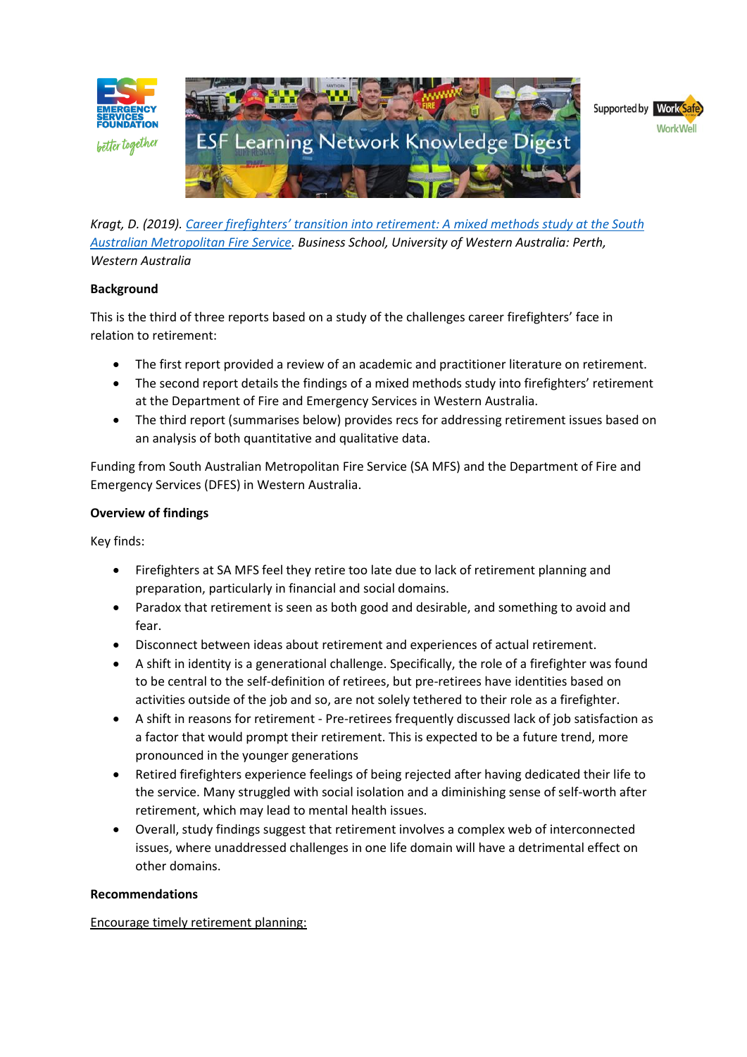

*Kragt, D. (2019). [Career firefighters' transition into retirement: A mixed methods study at the South](https://esf.com.au/resources/knowledge-hub/for-individuals/retirement/)  [Australian Metropolitan Fire Service.](https://esf.com.au/resources/knowledge-hub/for-individuals/retirement/) Business School, University of Western Australia: Perth, Western Australia*

## **Background**

This is the third of three reports based on a study of the challenges career firefighters' face in relation to retirement:

- The first report provided a review of an academic and practitioner literature on retirement.
- The second report details the findings of a mixed methods study into firefighters' retirement at the Department of Fire and Emergency Services in Western Australia.
- The third report (summarises below) provides recs for addressing retirement issues based on an analysis of both quantitative and qualitative data.

Funding from South Australian Metropolitan Fire Service (SA MFS) and the Department of Fire and Emergency Services (DFES) in Western Australia.

## **Overview of findings**

Key finds:

- Firefighters at SA MFS feel they retire too late due to lack of retirement planning and preparation, particularly in financial and social domains.
- Paradox that retirement is seen as both good and desirable, and something to avoid and fear.
- Disconnect between ideas about retirement and experiences of actual retirement.
- A shift in identity is a generational challenge. Specifically, the role of a firefighter was found to be central to the self-definition of retirees, but pre-retirees have identities based on activities outside of the job and so, are not solely tethered to their role as a firefighter.
- A shift in reasons for retirement Pre-retirees frequently discussed lack of job satisfaction as a factor that would prompt their retirement. This is expected to be a future trend, more pronounced in the younger generations
- Retired firefighters experience feelings of being rejected after having dedicated their life to the service. Many struggled with social isolation and a diminishing sense of self-worth after retirement, which may lead to mental health issues.
- Overall, study findings suggest that retirement involves a complex web of interconnected issues, where unaddressed challenges in one life domain will have a detrimental effect on other domains.

### **Recommendations**

Encourage timely retirement planning: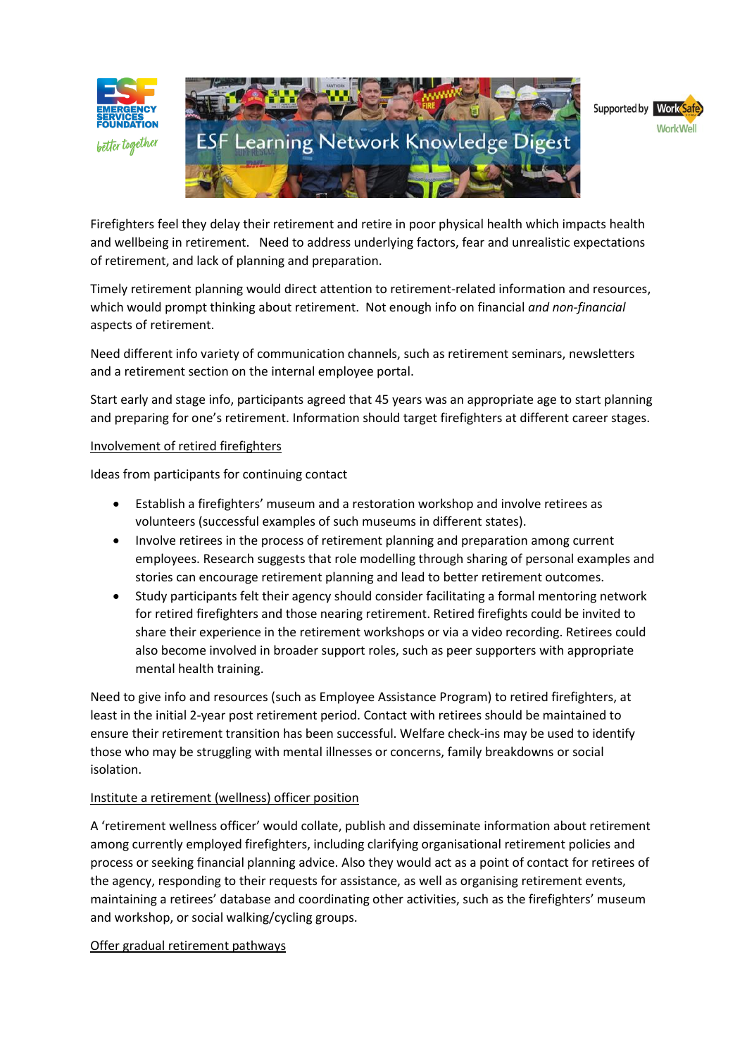





Firefighters feel they delay their retirement and retire in poor physical health which impacts health and wellbeing in retirement. Need to address underlying factors, fear and unrealistic expectations of retirement, and lack of planning and preparation.

Timely retirement planning would direct attention to retirement-related information and resources, which would prompt thinking about retirement. Not enough info on financial *and non-financial* aspects of retirement.

Need different info variety of communication channels, such as retirement seminars, newsletters and a retirement section on the internal employee portal.

Start early and stage info, participants agreed that 45 years was an appropriate age to start planning and preparing for one's retirement. Information should target firefighters at different career stages.

## Involvement of retired firefighters

Ideas from participants for continuing contact

- Establish a firefighters' museum and a restoration workshop and involve retirees as volunteers (successful examples of such museums in different states).
- Involve retirees in the process of retirement planning and preparation among current employees. Research suggests that role modelling through sharing of personal examples and stories can encourage retirement planning and lead to better retirement outcomes.
- Study participants felt their agency should consider facilitating a formal mentoring network for retired firefighters and those nearing retirement. Retired firefights could be invited to share their experience in the retirement workshops or via a video recording. Retirees could also become involved in broader support roles, such as peer supporters with appropriate mental health training.

Need to give info and resources (such as Employee Assistance Program) to retired firefighters, at least in the initial 2-year post retirement period. Contact with retirees should be maintained to ensure their retirement transition has been successful. Welfare check-ins may be used to identify those who may be struggling with mental illnesses or concerns, family breakdowns or social isolation.

### Institute a retirement (wellness) officer position

A 'retirement wellness officer' would collate, publish and disseminate information about retirement among currently employed firefighters, including clarifying organisational retirement policies and process or seeking financial planning advice. Also they would act as a point of contact for retirees of the agency, responding to their requests for assistance, as well as organising retirement events, maintaining a retirees' database and coordinating other activities, such as the firefighters' museum and workshop, or social walking/cycling groups.

# Offer gradual retirement pathways